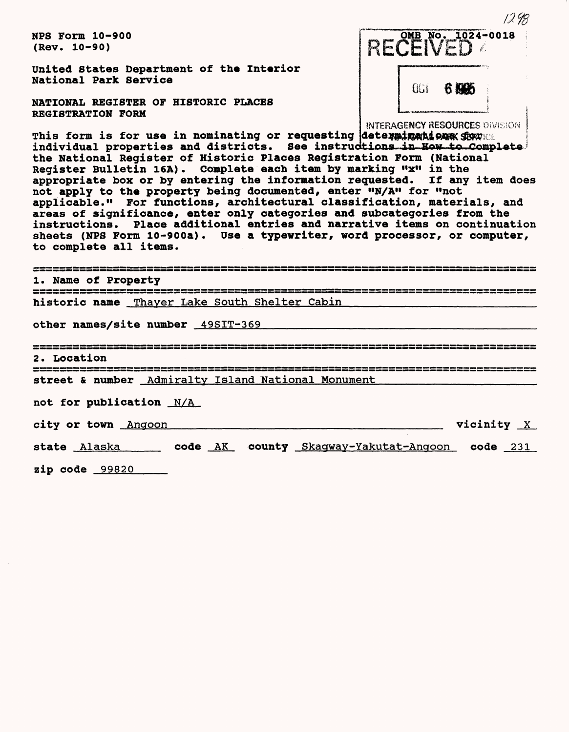$NPS$  Form  $10-900$ (Rev. 10-90)

zip code 99820

United states Department of the Interior National Park Service

NATIONAL REGISTER OF HISTORIC PLACES REGISTRATION FORM

|                                |                 |              |                                                  | 1 X IB |
|--------------------------------|-----------------|--------------|--------------------------------------------------|--------|
| gwan                           | NΩ<br>$S_{max}$ | <b>STEEL</b> | <b>1024-0018</b><br>$\int_{\frac{\pi}{2}}^{\pi}$ |        |
|                                | 0               | R.           |                                                  |        |
| INTERAGENCY RESOURCES DIVISION |                 |              |                                                  |        |

 $\overline{a}$ 

This form is for use in nominating or requesting determinations form individual properties and districts. See instrudtions in How to Complete the National Register of Historic Places Registration Form (National Register Bulletin 16A). Complete each item by marking "x" in the appropriate box or by entering the information requested. If any item does not apply to the property being documented, enter "N/A" for "not applicable." For functions, architectural classification, materials, and areas of significance, enter only categories and subcategories from the instructions. Place additional entries and narrative items on continuation sheets (NPS Form I0-900a). Use a typewriter, word processor, or computer, to complete all items.

| 1. Name of Property                                            |            |
|----------------------------------------------------------------|------------|
| historic name Thayer Lake South Shelter Cabin                  |            |
| other names/site number 49SIT-369                              |            |
| 2. Location                                                    |            |
| street & number Admiralty Island National Monument             |            |
| not for publication N/A                                        |            |
| city or town Angoon                                            | vicinity X |
| state Alaska 60 code AK county Skaqway-Yakutat-Angoon code 231 |            |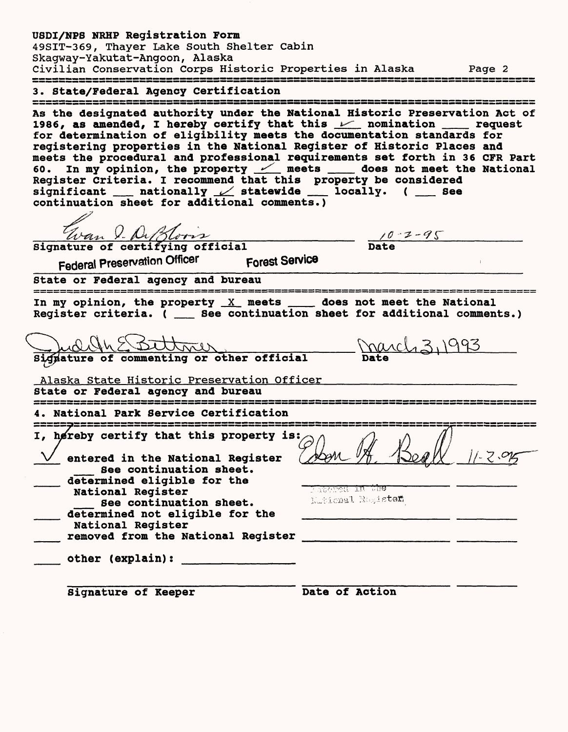| USDI/NPS NRHP Registration Form<br>49SIT-369, Thayer Lake South Shelter Cabin<br>Skaqway-Yakutat-Angoon, Alaska                                                                                                                                                                                                                                                                                                                                                                                                                                                                                                                                                                 |                                                         |                                                                        |
|---------------------------------------------------------------------------------------------------------------------------------------------------------------------------------------------------------------------------------------------------------------------------------------------------------------------------------------------------------------------------------------------------------------------------------------------------------------------------------------------------------------------------------------------------------------------------------------------------------------------------------------------------------------------------------|---------------------------------------------------------|------------------------------------------------------------------------|
| Civilian Conservation Corps Historic Properties in Alaska<br>3. State/Federal Agency Certification                                                                                                                                                                                                                                                                                                                                                                                                                                                                                                                                                                              |                                                         | Page 2                                                                 |
| As the designated authority under the National Historic Preservation Act of<br>1986, as amended, I hereby certify that this $\swarrow$ nomination _____ request<br>for determination of eligibility meets the documentation standards for<br>registering properties in the National Register of Historic Places and<br>meets the procedural and professional requirements set forth in 36 CFR Part<br>60. In my opinion, the property $\angle$ meets ____ does not meet the National<br>Register Criteria. I recommend that this property be considered<br>significant ___ nationally $\angle$ statewide ___ locally. ( ___ See<br>continuation sheet for additional comments.) |                                                         | 2 22 22 22 22 22 22 22 22 22 22 22 23 24 25 26 27 28 29 20 21 22 22 22 |
| <i><u>Evan D. Aufflorin</u></i><br>signature of certifying official                                                                                                                                                                                                                                                                                                                                                                                                                                                                                                                                                                                                             | $ \frac{10-2-95}{\text{Date}}$                          |                                                                        |
| Federal Preservation Officer Forest Service                                                                                                                                                                                                                                                                                                                                                                                                                                                                                                                                                                                                                                     |                                                         |                                                                        |
| State or Federal agency and bureau                                                                                                                                                                                                                                                                                                                                                                                                                                                                                                                                                                                                                                              |                                                         |                                                                        |
| In my opinion, the property $X$ meets $\_\_\_\$ does not meet the National<br>Register criteria. ( __ See continuation sheet for additional comments.)                                                                                                                                                                                                                                                                                                                                                                                                                                                                                                                          |                                                         |                                                                        |
| Judith EBULWIN March 3, 1993                                                                                                                                                                                                                                                                                                                                                                                                                                                                                                                                                                                                                                                    |                                                         |                                                                        |
| Alaska State Historic Preservation Officer<br>State or Federal agency and bureau                                                                                                                                                                                                                                                                                                                                                                                                                                                                                                                                                                                                |                                                         |                                                                        |
| 4. National Park Service Certification                                                                                                                                                                                                                                                                                                                                                                                                                                                                                                                                                                                                                                          |                                                         |                                                                        |
| I, hereby certify that this property is: $\wedge$<br>entered in the National Register<br>See continuation sheet.<br>determined eligible for the<br>National Register<br>See continuation sheet.<br>determined not eligible for the                                                                                                                                                                                                                                                                                                                                                                                                                                              | $\Lambda$<br>Pitched <b>in the</b><br>Kutional Rogister |                                                                        |
| National Register<br>removed from the National Register<br>other (explain):                                                                                                                                                                                                                                                                                                                                                                                                                                                                                                                                                                                                     |                                                         |                                                                        |
|                                                                                                                                                                                                                                                                                                                                                                                                                                                                                                                                                                                                                                                                                 |                                                         |                                                                        |

Signature of Keeper Date of Action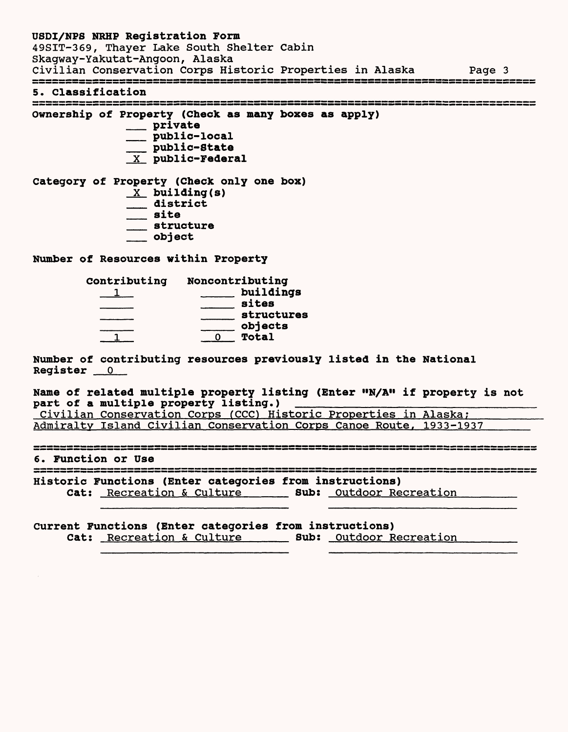USDI/NPS NRHP Registration Form 49SIT-369, Thayer Lake South Shelter Cabin Skagway-Yakutat-Angoon, Alaska Civilian Conservation Corps Historic Properties in Alaska Page 3 5. Classification Ownership of Property (Check as many boxes as apply) \_\_ private \_\_ public-local \_\_ public-State X public-Federal Category of Property (Check only one box)  $X$  building(s) \_\_ district \_\_ site \_\_ structure \_\_ object Number of Resources within Property Contributing Noncontributing \_\_\_\_\_ buildings  $\frac{1}{\sqrt{2}}$  sites \_\_\_ \_\_\_ structures \_\_\_\_ \_\_\_ objects  $\frac{1}{1}$  o Total Number of contributing resources previously listed in the National  $$ Name of related multiple property listing (Enter "N/A" if property is not part of a multiple property listing.) Civilian Conservation Corps (CCC) Historic Properties in Alaska; Admiralty Island Civilian Conservation Corps Canoe Route, 1933-1937 6. Function or Use Historic Functions (Enter categories from instructions) Cat: Recreation & Culture\_\_\_\_\_ Sub: Outdoor Recreation Current Functions (Enter categories from instructions) Cat: Recreation & Culture \_\_\_\_\_\_ Sub: Outdoor Recreation \_\_\_\_\_\_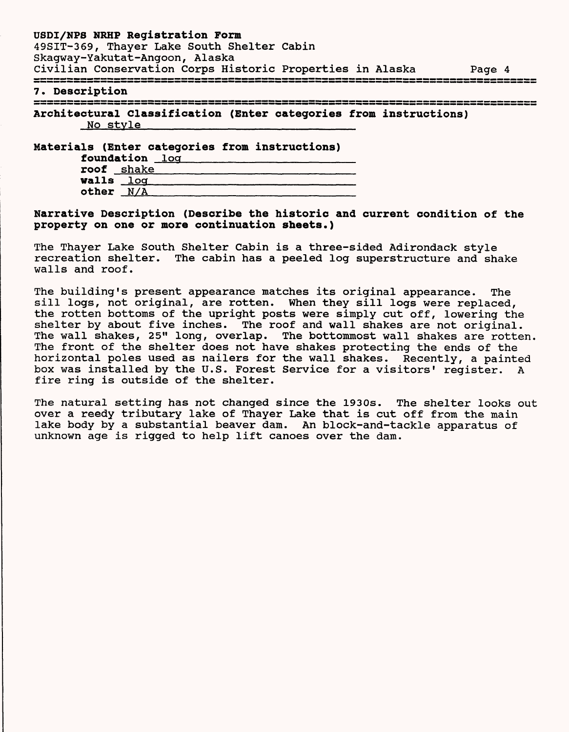| USDI/NPS NRHP Registration Form                                                                                                                                                                                                                                                                                                                                                    |        |
|------------------------------------------------------------------------------------------------------------------------------------------------------------------------------------------------------------------------------------------------------------------------------------------------------------------------------------------------------------------------------------|--------|
| 49SIT-369, Thayer Lake South Shelter Cabin                                                                                                                                                                                                                                                                                                                                         |        |
| Skaqway-Yakutat-Anqoon, Alaska                                                                                                                                                                                                                                                                                                                                                     |        |
| Civilian Conservation Corps Historic Properties in Alaska                                                                                                                                                                                                                                                                                                                          | Page 4 |
| ة نابلة عبير ضنة تقو الله كنه ينبي تحت كله كله حسر نتينة سن التحديد والتحال التي يعن سن التعريف عنه والتحديد والتحديدات المركبة والمركبة والتحديدات المركبة والتحديدات المركبة والتحديدات المركبة والتحديدات المركبة والتحديدا<br>سم سرة نفت نكا كله فلك حلك ني قلو أثنا سرة ناو بيو بلي بليد بلي بلين كنه حيد هية كان كان بليا بلينا بليد هنة قنه نان لله فنه فنه بلية بلينا بليا |        |

#### **7. Description**

<u>اللہ سے بات سے بند کے لیے سرسر کر کہ سے سرسر کر لگ سے سرسر کر لگا۔</u> 

**Architectural Classification (Enter categories from instructions)** No style\_\_\_\_\_\_\_\_\_\_\_\_\_\_\_\_\_\_\_\_\_\_\_\_

**Materials (Enter categories from instructions)**

|                  | foundation log    |  |  |  |
|------------------|-------------------|--|--|--|
|                  | <b>roof</b> shake |  |  |  |
| <b>walls</b> log |                   |  |  |  |
| other N/A        |                   |  |  |  |
|                  |                   |  |  |  |

# **Narrative Description (Describe the historic and current condition of the property on one or more continuation sheets.)**

The Thayer Lake South Shelter Cabin is a three-sided Adirondack style recreation shelter. The cabin has a peeled log superstructure and shake walls and roof.

The building's present appearance matches its original appearance. The sill logs, not original, are rotten. When they sill logs were replaced, the rotten bottoms of the upright posts were simply cut off, lowering the shelter by about five inches. The roof and wall shakes are not original. The wall shakes, 25" long, overlap. The bottommost wall shakes are rotten. The front of the shelter does not have shakes protecting the ends of the horizontal poles used as nailers for the wall shakes. Recently, a painted box was installed by the U.S. Forest Service for a visitors' register. A fire ring is outside of the shelter.

The natural setting has not changed since the 1930s. The shelter looks out over a reedy tributary lake of Thayer Lake that is cut off from the main lake body by a substantial beaver dam. An block-and-tackle apparatus of unknown age is rigged to help lift canoes over the dam.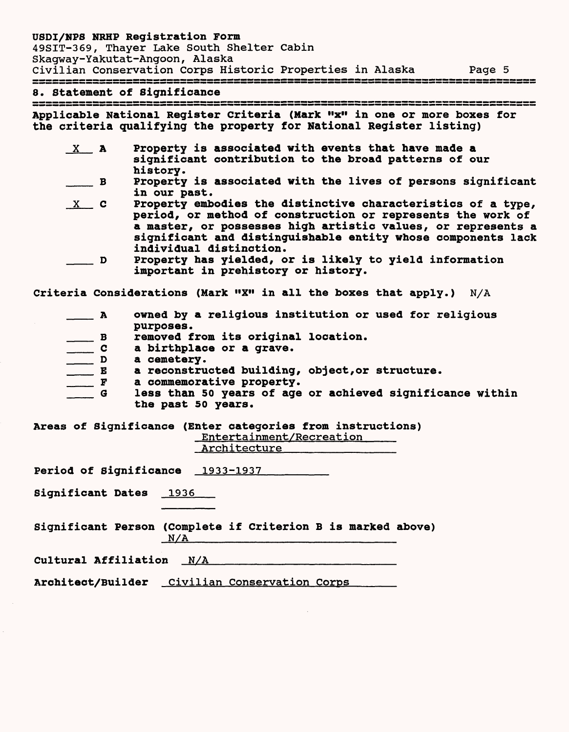|                                                                                                                                                                                                                             | USDI/NPS NRHP Registration Form                                                                                                                                                                                                                                                        |
|-----------------------------------------------------------------------------------------------------------------------------------------------------------------------------------------------------------------------------|----------------------------------------------------------------------------------------------------------------------------------------------------------------------------------------------------------------------------------------------------------------------------------------|
|                                                                                                                                                                                                                             | 49SIT-369, Thayer Lake South Shelter Cabin<br>Skaqway-Yakutat-Angoon, Alaska                                                                                                                                                                                                           |
|                                                                                                                                                                                                                             | Civilian Conservation Corps Historic Properties in Alaska Page 5                                                                                                                                                                                                                       |
| 8. Statement of Significance                                                                                                                                                                                                |                                                                                                                                                                                                                                                                                        |
|                                                                                                                                                                                                                             | Applicable National Register Criteria (Mark "x" in one or more boxes for<br>the criteria qualifying the property for National Register listing)                                                                                                                                        |
| $X$ $A$                                                                                                                                                                                                                     | Property is associated with events that have made a<br>significant contribution to the broad patterns of our<br>history.                                                                                                                                                               |
| $\mathbf{B}$                                                                                                                                                                                                                | Property is associated with the lives of persons significant<br>in our past.                                                                                                                                                                                                           |
| $X$ $C$                                                                                                                                                                                                                     | Property embodies the distinctive characteristics of a type,<br>period, or method of construction or represents the work of<br>a master, or possesses high artistic values, or represents a<br>significant and distinguishable entity whose components lack<br>individual distinction. |
| $\blacksquare$                                                                                                                                                                                                              | Property has yielded, or is likely to yield information<br>important in prehistory or history.                                                                                                                                                                                         |
|                                                                                                                                                                                                                             | Criteria Considerations (Mark "X" in all the boxes that apply.) $N/A$                                                                                                                                                                                                                  |
| $\overline{\phantom{a}}$ A                                                                                                                                                                                                  | owned by a religious institution or used for religious                                                                                                                                                                                                                                 |
|                                                                                                                                                                                                                             | purposes.<br>removed from its original location.                                                                                                                                                                                                                                       |
|                                                                                                                                                                                                                             | a birthplace or a grave.                                                                                                                                                                                                                                                               |
|                                                                                                                                                                                                                             | a cemetery.<br>a reconstructed building, object, or structure.                                                                                                                                                                                                                         |
|                                                                                                                                                                                                                             | a commemorative property.                                                                                                                                                                                                                                                              |
| $\begin{array}{c c c} \hline \textbf{L} & \textbf{B} & \textbf{B} \\ \hline \textbf{L} & \textbf{D} & \textbf{C} \\ \hline \textbf{L} & \textbf{B} & \textbf{B} \\ \hline \textbf{L} & \textbf{B} & \textbf{B} \end{array}$ | less than 50 years of age or achieved significance within<br>the past 50 years.                                                                                                                                                                                                        |
|                                                                                                                                                                                                                             | Areas of Significance (Enter categories from instructions)<br>Entertainment/Recreation<br>Architecture                                                                                                                                                                                 |
|                                                                                                                                                                                                                             | Period of Significance 1933-1937                                                                                                                                                                                                                                                       |
| Significant Dates 1936                                                                                                                                                                                                      |                                                                                                                                                                                                                                                                                        |
|                                                                                                                                                                                                                             | Significant Person (Complete if Criterion B is marked above)<br>N/A                                                                                                                                                                                                                    |
| Cultural Affiliation N/A                                                                                                                                                                                                    |                                                                                                                                                                                                                                                                                        |

 $\sim 10^{-11}$ 

Architect/Builder **Civilian Conservation Corps** 

 $\hat{\mathcal{E}}$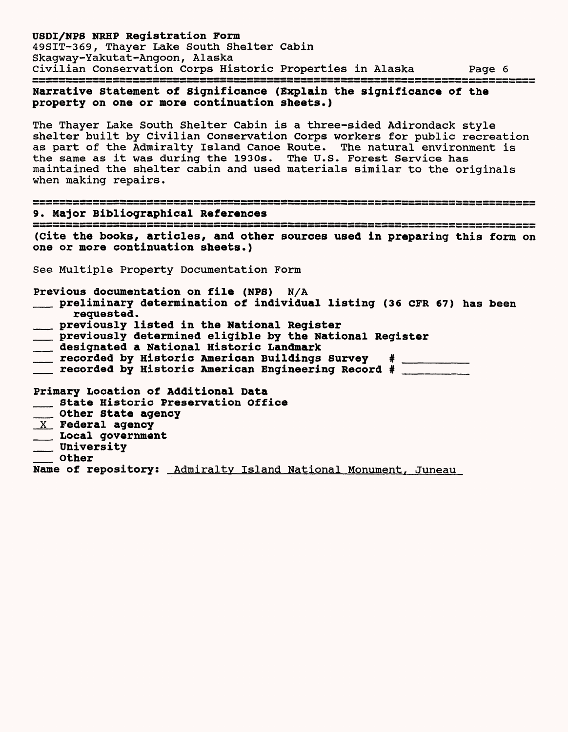| USDI/NPS NRHP Registration Form<br>49SIT-369, Thayer Lake South Shelter Cabin<br>Skagway-Yakutat-Angoon, Alaska<br>Civilian Conservation Corps Historic Properties in Alaska Bage 6                                                                                                                                                                                                                                                                                                          |  |
|----------------------------------------------------------------------------------------------------------------------------------------------------------------------------------------------------------------------------------------------------------------------------------------------------------------------------------------------------------------------------------------------------------------------------------------------------------------------------------------------|--|
| Narrative Statement of Significance (Explain the significance of the<br>property on one or more continuation sheets.)                                                                                                                                                                                                                                                                                                                                                                        |  |
| The Thayer Lake South Shelter Cabin is a three-sided Adirondack style<br>shelter built by Civilian Conservation Corps workers for public recreation<br>as part of the Admiralty Island Canoe Route. The natural environment is<br>the same as it was during the 1930s. The U.S. Forest Service has<br>maintained the shelter cabin and used materials similar to the originals<br>when making repairs.                                                                                       |  |
| ا و چر که این من کار می شدن از این محمد استفاده و این محمد استفاده استفاده استفاده استفاده و معاون استفاده است<br>در برای این محمد برای محمد برای از این استفاده استفاده و این محمد استفاده استفاده استفاده و معاون این استفاده<br>9. Major Bibliographical References                                                                                                                                                                                                                       |  |
| (Cite the books, articles, and other sources used in preparing this form on<br>one or more continuation sheets.)<br>See Multiple Property Documentation Form<br>Previous documentation on file (NPS) N/A<br>preliminary determination of individual listing (36 CFR 67) has been<br>requested.<br>previously listed in the National Register<br>__ previously determined eligible by the National Register<br>designated a National Historic Landmark<br>Primary Location of Additional Data |  |
| __ State Historic Preservation Office<br>___ Other State agency<br>$X$ Federal agency<br>__ Local government<br>University<br>$\overline{\phantom{a}}$ other<br>Name of repository: Admiralty Island National Monument, Juneau                                                                                                                                                                                                                                                               |  |
|                                                                                                                                                                                                                                                                                                                                                                                                                                                                                              |  |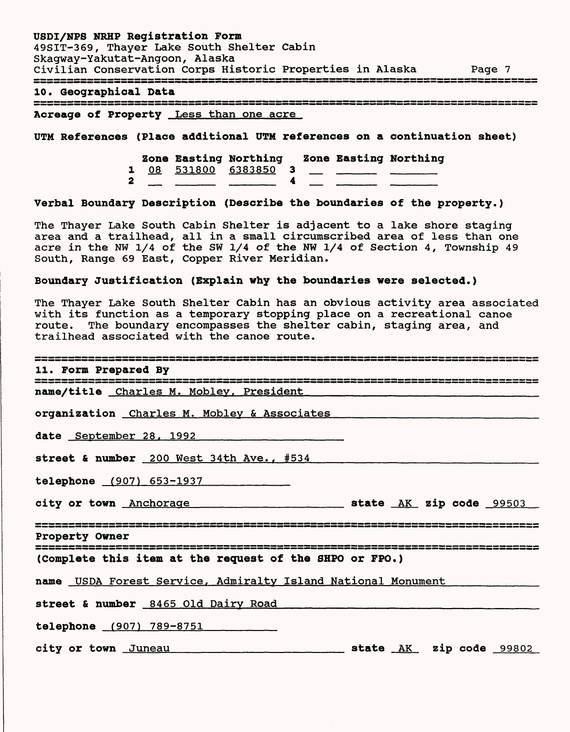USDI/NP8 NRHP Registration Form 49SIT-369, Thayer Lake South Shelter Cabin Skagway-Yakutat-Angoon, Alaska Civilian Conservation Corps Historic Properties in Alaska Page 7

10. Geographical Data Acreage of Property Less than one acre

UTM References (Place additional UTM references on a continuation sheet)

Zone Easting Northing Zone Easting Northing 1 08 531800 6383850 3 \_ \_\_\_\_\_ \_\_\_\_\_\_ 2 \_ \_\_\_\_\_ \_\_\_\_\_\_ 4 \_ \_\_\_\_\_ \_\_\_\_\_\_

Verbal Boundary Description (Describe the boundaries of the property.)

The Thayer Lake South Cabin Shelter is adjacent to a lake shore staging area and a trailhead, all in a small circumscribed area of less than one acre in the NW 1/4 of the SW 1/4 of the NW 1/4 of Section 4, Township 49 South, Range 69 East, Copper River Meridian.

### Boundary Justification (Explain why the boundaries were selected.)

The Thayer Lake South Shelter Cabin has an obvious activity area associated with its function as a temporary stopping place on a recreational canoe route. The boundary encompasses the shelter cabin, staging area, and trailhead associated with the canoe route.

# 

11. Form Prepared By name/title Charles M. Mobley, President

organization Charles M. Mobley & Associates

**date** September 28, 1992

**street & number** 200 West 34th Ave.. #534

**telephone** (907) 653-1937\_\_\_\_\_\_\_\_\_\_

**city or town** Anchorage\_\_\_\_\_\_\_\_\_\_\_\_\_\_\_\_\_\_\_\_\_ **state** AK **zip code** 99503

**Property Owner (Complete this item at the request of the SHPO or FPO.)**

name USDA Forest Service, Admiralty Island National Monument

street & number 8465 Old Dairy Road

**telephone** (907) 789-8751\_\_\_\_\_\_\_\_

**city or town** Juneau\_\_\_\_\_\_\_\_\_\_\_\_\_\_\_\_\_\_\_\_\_ **state** AK **zip code** 99802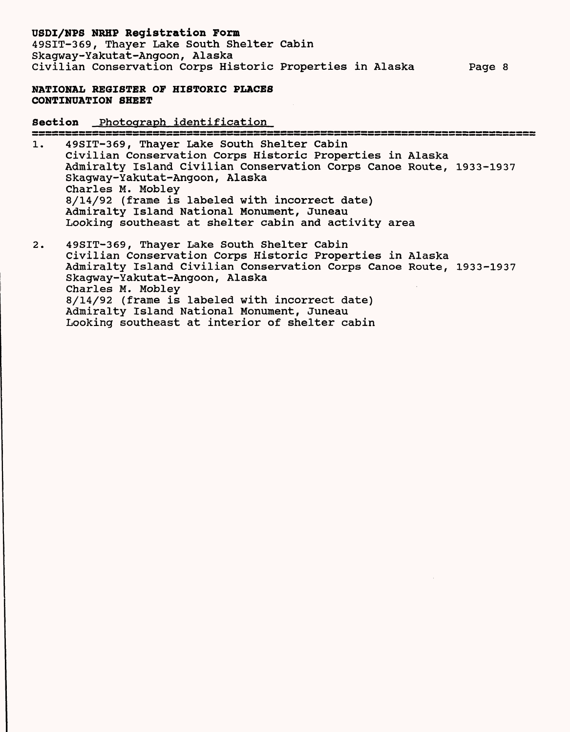# **NATIONAL REGISTER OF HISTORIC PLACES CONTINUATION SHEET**

**Section** Photograph identification

- 49SIT-369, Thayer Lake South Shelter Cabin  $1.$ Civilian Conservation Corps Historic Properties in Alaska Admiralty Island Civilian Conservation Corps Canoe Route, 1933-1937 Skagway-Yakutat-Angoon, Alaska Charles M. Mobley 8/14/92 (frame is labeled with incorrect date) Admiralty Island National Monument, Juneau Looking southeast at shelter cabin and activity area
- 49SIT-369, Thayer Lake South Shelter Cabin  $2.$ Civilian Conservation Corps Historic Properties in Alaska Admiralty Island Civilian Conservation Corps Canoe Route, 1933-1937 Skagway-Yakutat-Angoon, Alaska Charles M. Mobley 8/14/92 (frame is labeled with incorrect date) Admiralty Island National Monument, Juneau Looking southeast at interior of shelter cabin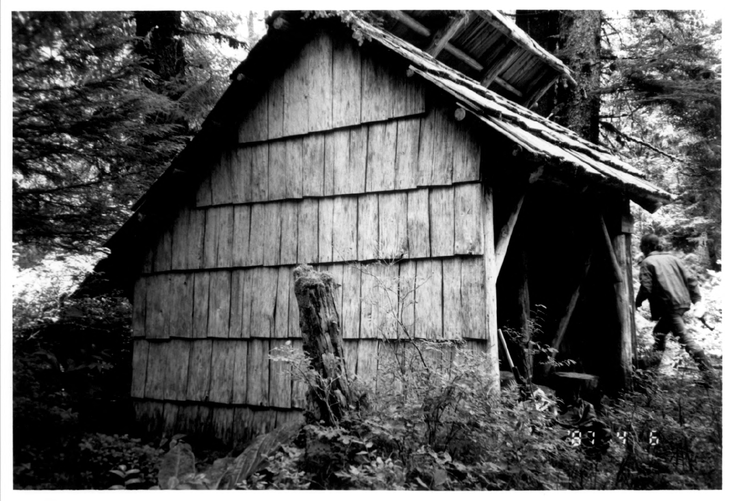